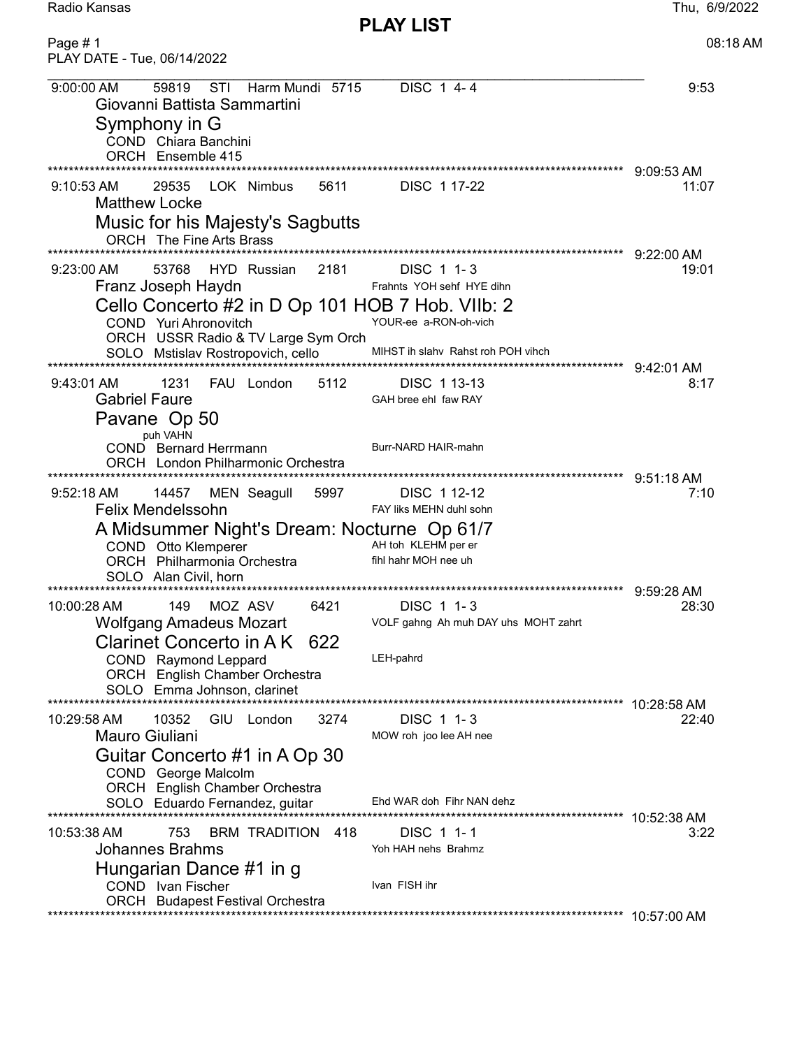Radio Kansas Thu, 6/9/2022

PLAY LIST

| Page #1<br>PLAY DATE - Tue, 06/14/2022                                                                                                      |                                             | 08:18 AM              |
|---------------------------------------------------------------------------------------------------------------------------------------------|---------------------------------------------|-----------------------|
| 59819<br>STI<br>Harm Mundi 5715<br>9:00:00 AM<br>Giovanni Battista Sammartini<br>Symphony in G<br>COND Chiara Banchini<br>ORCH Ensemble 415 | DISC 1 4-4                                  | 9:53                  |
|                                                                                                                                             |                                             | 9:09:53 AM            |
| $9:10:53$ AM<br>29535<br>LOK Nimbus<br>5611<br><b>Matthew Locke</b>                                                                         | DISC 1 17-22                                | 11:07                 |
| Music for his Majesty's Sagbutts                                                                                                            |                                             |                       |
| ORCH The Fine Arts Brass                                                                                                                    | ***********************                     | 9:22:00 AM            |
| 2181<br>53768<br>HYD Russian<br>$9:23:00$ AM                                                                                                | DISC 1 1-3                                  | 19:01                 |
| Franz Joseph Haydn                                                                                                                          | Frahnts YOH sehf HYE dihn                   |                       |
| Cello Concerto #2 in D Op 101 HOB 7 Hob. VIIb: 2<br>COND Yuri Ahronovitch<br>ORCH USSR Radio & TV Large Sym Orch                            | YOUR-ee a-RON-oh-vich                       |                       |
| SOLO Mstislav Rostropovich, cello                                                                                                           | MIHST ih slahv Rahst roh POH vihch          |                       |
| 1231<br>FAU London<br>5112                                                                                                                  | DISC 1 13-13                                | 9:42:01 AM<br>8:17    |
| $9:43:01$ AM<br><b>Gabriel Faure</b><br>Pavane Op 50                                                                                        | GAH bree ehl faw RAY                        |                       |
| puh VAHN<br><b>COND</b> Bernard Herrmann<br>ORCH London Philharmonic Orchestra                                                              | Burr-NARD HAIR-mahn                         |                       |
|                                                                                                                                             |                                             | 9:51:18 AM            |
| 14457<br>MEN Seagull<br>5997<br>$9:52:18 \text{ AM}$<br><b>Felix Mendelssohn</b>                                                            | DISC 1 12-12<br>FAY liks MEHN duhl sohn     | 7:10                  |
| A Midsummer Night's Dream: Nocturne Op 61/7                                                                                                 |                                             |                       |
| COND Otto Klemperer<br>ORCH Philharmonia Orchestra                                                                                          | AH toh KLEHM per er<br>fihl hahr MOH nee uh |                       |
| SOLO Alan Civil, horn                                                                                                                       |                                             |                       |
| 149<br>MOZ ASV<br>6421                                                                                                                      | DISC 1 1-3                                  | $9:59:28$ AM<br>28:30 |
| 10:00:28 AM<br>Wolfgang Amadeus Mozart                                                                                                      | VOLF gahng Ah muh DAY uhs MOHT zahrt        |                       |
| Clarinet Concerto in AK 622                                                                                                                 |                                             |                       |
| COND Raymond Leppard<br><b>ORCH</b> English Chamber Orchestra<br>SOLO Emma Johnson, clarinet                                                | LEH-pahrd                                   |                       |
|                                                                                                                                             |                                             | 10:28:58 AM           |
| 10352<br>10:29:58 AM<br>GIU.<br>3274<br>London                                                                                              | DISC 1 1-3                                  | 22:40                 |
| Mauro Giuliani                                                                                                                              | MOW roh joo lee AH nee                      |                       |
| Guitar Concerto #1 in A Op 30<br>COND George Malcolm<br><b>ORCH</b> English Chamber Orchestra                                               |                                             |                       |
| SOLO Eduardo Fernandez, guitar                                                                                                              | Ehd WAR doh Fihr NAN dehz                   |                       |
| 10:53:38 AM<br>753<br>418                                                                                                                   |                                             | 10:52:38 AM<br>3:22   |
| <b>BRM TRADITION</b><br><b>Johannes Brahms</b>                                                                                              | DISC 1 1-1<br>Yoh HAH nehs Brahmz           |                       |
| Hungarian Dance #1 in g<br>COND Ivan Fischer                                                                                                | Ivan FISH ihr                               |                       |
| <b>ORCH</b> Budapest Festival Orchestra                                                                                                     |                                             | 10:57:00 AM           |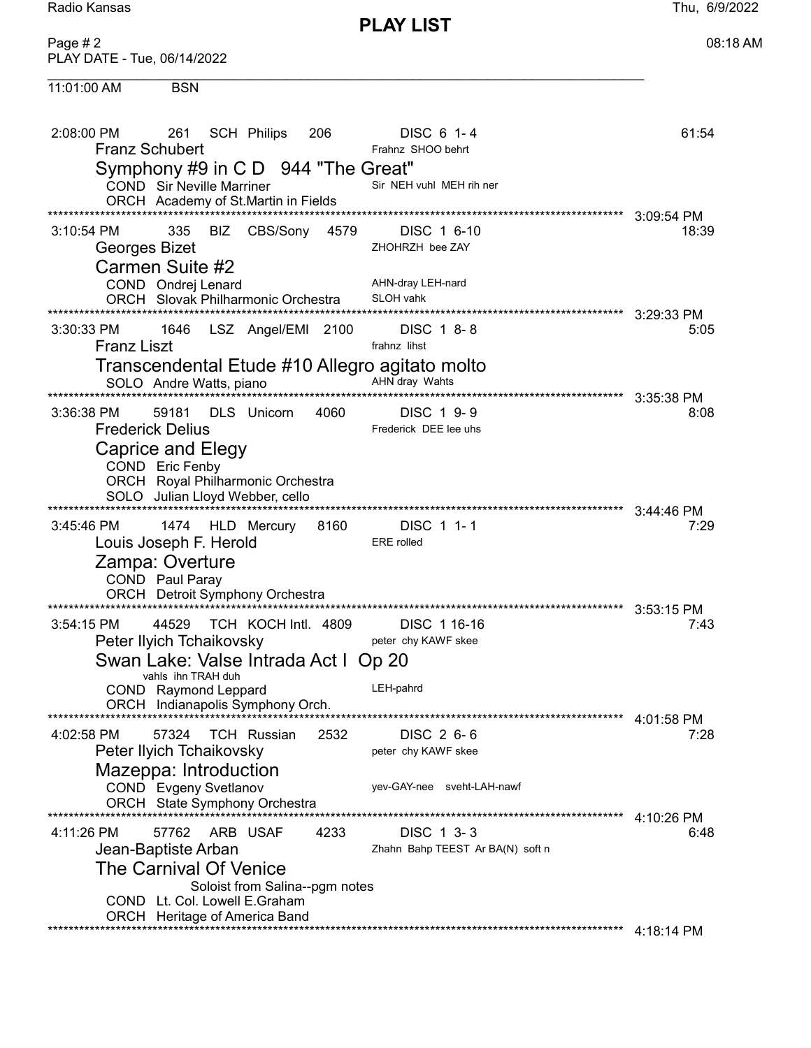**PLAY LIST** 

Thu, 6/9/2022

Page #2 08:18 AM PLAY DATE - Tue, 06/14/2022 11:01:00 AM **BSN** 261 SCH Philips **DISC 6 1-4** 2:08:00 PM 206 61:54 **Franz Schubert** Frahnz SHOO behrt Symphony #9 in C D 944 "The Great" Sir NEH vuhl MEH rih ner COND Sir Neville Marriner ORCH Academy of St.Martin in Fields 335 BIZ CBS/Sony 4579 DISC 1 6-10 3:10:54 PM 18:39 Georges Bizet ZHOHRZH bee ZAY Carmen Suite #2 AHN-dray LEH-nard COND Ondrej Lenard ORCH Slovak Philharmonic Orchestra SLOH vahk DISC 1 8-8 1646 LSZ Angel/EMI 2100 3:30:33 PM  $5:05$ **Franz Liszt** frahnz lihst Transcendental Etude #10 Allegro agitato molto SOLO Andre Watts, piano<br>
BOLO Andre Watts, piano DISC 1 9-9 59181 DLS Unicorn 4060 3:36:38 PM  $8:08$ Frederick DEE lee uhs **Frederick Delius** Caprice and Elegy COND Eric Fenby ORCH Royal Philharmonic Orchestra SOLO Julian Lloyd Webber, cello 1474 HLD Mercury 8160 DISC 1 1-1 3:45:46 PM  $7:29$ Louis Joseph F. Herold ERE rolled Zampa: Overture COND Paul Paray ORCH Detroit Symphony Orchestra 3:54:15 PM 44529 TCH KOCH Intl. 4809 DISC 1 16-16  $7:43$ Peter Ilyich Tchaikovsky peter chy KAWF skee Swan Lake: Valse Intrada Act I Op 20 vahls ihn TRAH duh COND Raymond Leppard LEH-pahrd ORCH Indianapolis Symphony Orch. 4:02:58 PM 57324 TCH Russian 2532 DISC 2 6-6  $7:28$ Peter Ilvich Tchaikovsky peter chy KAWF skee Mazeppa: Introduction yev-GAY-nee sveht-LAH-nawf COND Evgeny Svetlanov ORCH State Symphony Orchestra 57762 ARB USAF 4233 DISC 1 3-3 4:11:26 PM 6:48 Jean-Baptiste Arban Zhahn Bahp TEEST Ar BA(N) soft n The Carnival Of Venice Soloist from Salina--pgm notes COND Lt. Col. Lowell E.Graham